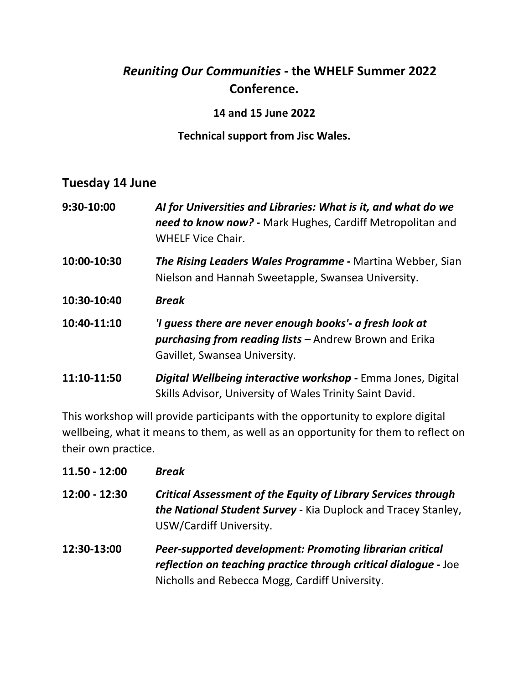# *Reuniting Our Communities* **- the WHELF Summer 2022 Conference.**

#### **14 and 15 June 2022**

#### **Technical support from Jisc Wales.**

## **Tuesday 14 June**

| 9:30-10:00  | Al for Universities and Libraries: What is it, and what do we<br>need to know now? - Mark Hughes, Cardiff Metropolitan and<br><b>WHELF Vice Chair.</b>    |
|-------------|-----------------------------------------------------------------------------------------------------------------------------------------------------------|
| 10:00-10:30 | <b>The Rising Leaders Wales Programme -</b> Martina Webber, Sian<br>Nielson and Hannah Sweetapple, Swansea University.                                    |
| 10:30-10:40 | <b>Break</b>                                                                                                                                              |
| 10:40-11:10 | 'I guess there are never enough books'- a fresh look at<br><b>purchasing from reading lists - Andrew Brown and Erika</b><br>Gavillet, Swansea University. |
| 11:10-11:50 | Digital Wellbeing interactive workshop - Emma Jones, Digital<br>Skills Advisor, University of Wales Trinity Saint David.                                  |

This workshop will provide participants with the opportunity to explore digital wellbeing, what it means to them, as well as an opportunity for them to reflect on their own practice.

| $11.50 - 12:00$ | <b>Break</b>                                                                                                                                                                         |
|-----------------|--------------------------------------------------------------------------------------------------------------------------------------------------------------------------------------|
| $12:00 - 12:30$ | <b>Critical Assessment of the Equity of Library Services through</b><br>the National Student Survey - Kia Duplock and Tracey Stanley,<br>USW/Cardiff University.                     |
| 12:30-13:00     | <b>Peer-supported development: Promoting librarian critical</b><br>reflection on teaching practice through critical dialogue - Joe<br>Nicholls and Rebecca Mogg, Cardiff University. |